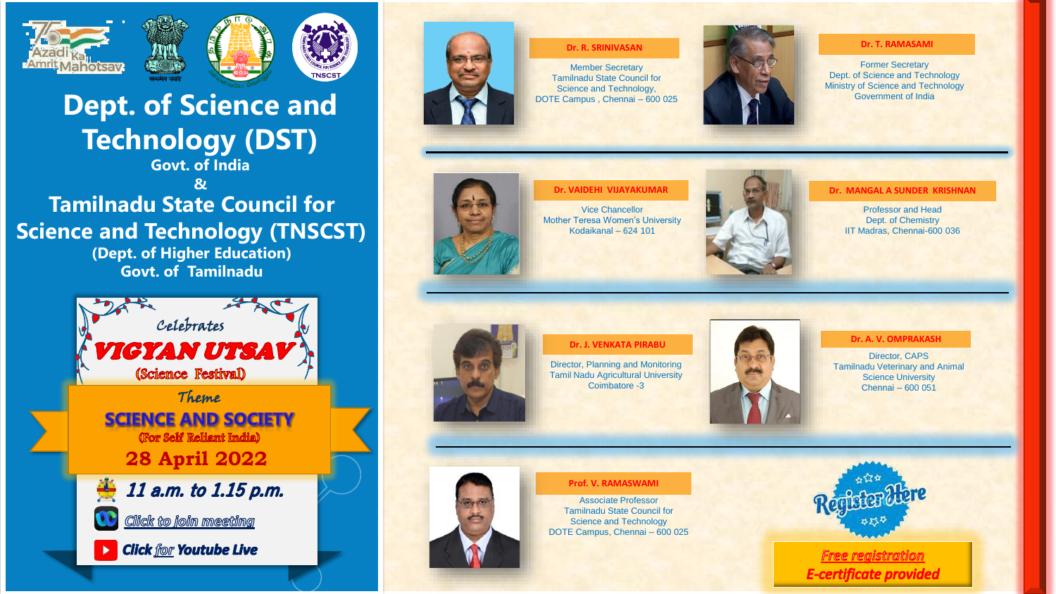

# **Dept. of Science and Technology (DST) Govt. of India**

**& Tamilnadu State Council for Science and Technology (TNSCST)**

**(Dept. of Higher Education) Govt. of Tamilnadu**





#### **Dr. R. SRINIVASAN**

Member Secretary Tamilnadu State Council for Science and Technology, DOTE Campus , Chennai – 600 025



## **Dr. T. RAMASAMI**

Former Secretary Dept. of Science and Technology Ministry of Science and Technology Government of India



#### **Dr. VAIDEHI VIJAYAKUMAR**

Vice Chancellor Mother Teresa Women's University Kodaikanal – 624 101



**Dr. MANGAL A SUNDER KRISHNAN**

Professor and Head Dept. of Chemistry IIT Madras, Chennai-600 036



#### **Dr. J. VENKATA PIRABU**

Director, Planning and Monitoring Tamil Nadu Agricultural University Coimbatore -3



### **Dr. A. V. OMPRAKASH**

Director, CAPS Tamilnadu Veterinary and Animal Science University Chennai – 600 051

#### **Prof. V. RAMASWAMI**

Associate Professor Tamilnadu State Council for Science and Technology DOTE Campus, Chennai – 600 025



**Free registration E-certificate provided**